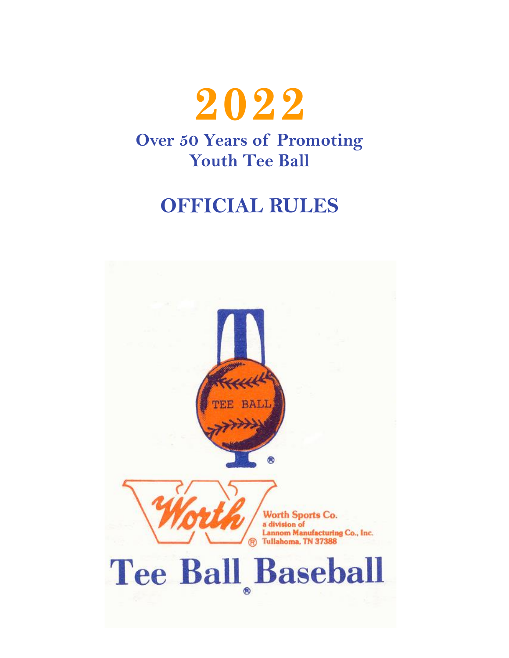

# **OFFICIAL RULES**

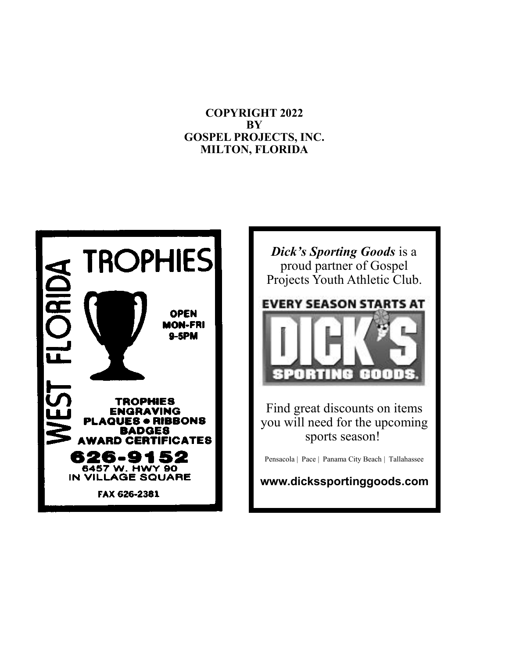#### **COPYRIGHT 2022 BY GOSPEL PROJECTS, INC. MILTON, FLORIDA**



*Dick's Sporting Goods* is a proud partner of Gospel Projects Youth Athletic Club.



Find great discounts on items you will need for the upcoming sports season!

Pensacola | Pace | Panama City Beach | Tallahassee

**www.dickssportinggoods.com**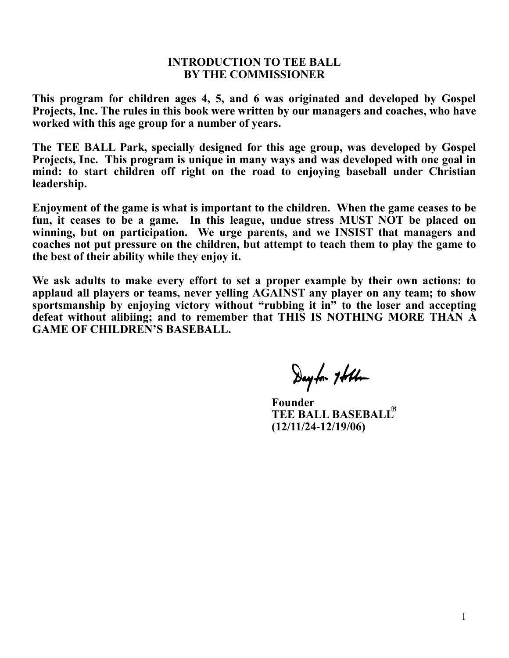#### **INTRODUCTION TO TEE BALL BY THE COMMISSIONER**

**This program for children ages 4, 5, and 6 was originated and developed by Gospel Projects, Inc. The rules in this book were written by our managers and coaches, who have worked with this age group for a number of years.**

**The TEE BALL Park, specially designed for this age group, was developed by Gospel Projects, Inc. This program is unique in many ways and was developed with one goal in mind: to start children off right on the road to enjoying baseball under Christian leadership.** 

**Enjoyment of the game is what is important to the children. When the game ceases to be fun, it ceases to be a game. In this league, undue stress MUST NOT be placed on winning, but on participation. We urge parents, and we INSIST that managers and coaches not put pressure on the children, but attempt to teach them to play the game to the best of their ability while they enjoy it.**

**We ask adults to make every effort to set a proper example by their own actions: to applaud all players or teams, never yelling AGAINST any player on any team; to show**  sportsmanship by enjoying victory without "rubbing it in<sup>"</sup> to the loser and accepting **defeat without alibiing; and to remember that THIS IS NOTHING MORE THAN A GAME OF CHILDREN'S BASEBALL.**

Dayfor 7 Albo

 **Founder TEE BALL BASEBALL (12/11/24-12/19/06)**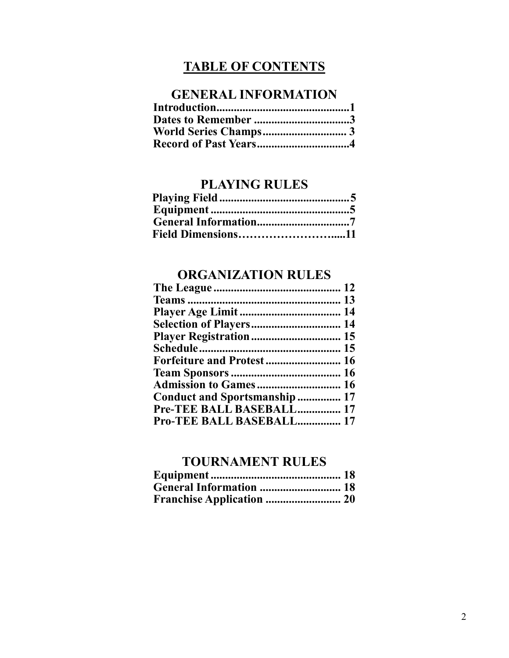# **TABLE OF CONTENTS**

# **GENERAL INFORMATION**

| Dates to Remember 3          |  |
|------------------------------|--|
|                              |  |
| <b>Record of Past Years4</b> |  |

# **PLAYING RULES**

| Field Dimensions11 |  |
|--------------------|--|

## **ORGANIZATION RULES**

| <b>Selection of Players 14</b>    |  |
|-----------------------------------|--|
|                                   |  |
|                                   |  |
| <b>Forfeiture and Protest  16</b> |  |
|                                   |  |
| <b>Admission to Games 16</b>      |  |
| Conduct and Sportsmanship  17     |  |
| Pre-TEE BALL BASEBALL 17          |  |
| <b>Pro-TEE BALL BASEBALL 17</b>   |  |
|                                   |  |

# **TOURNAMENT RULES**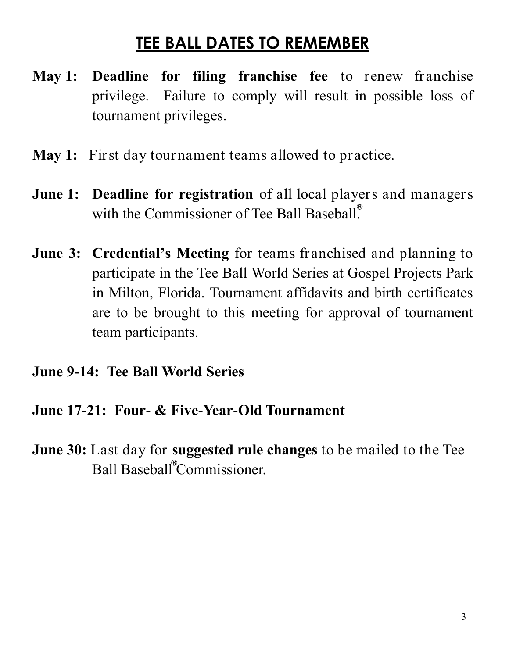# **TEE BALL DATES TO REMEMBER**

- **May 1: Deadline for filing franchise fee** to renew franchise privilege. Failure to comply will result in possible loss of tournament privileges.
- **May 1:** First day tournament teams allowed to practice.
- **June 1: Deadline for registration** of all local players and managers with the Commissioner of Tee Ball Baseball.
- **June 3: Credential's Meeting** for teams franchised and planning to participate in the Tee Ball World Series at Gospel Projects Park in Milton, Florida. Tournament affidavits and birth certificates are to be brought to this meeting for approval of tournament team participants.

# **June 9-14: Tee Ball World Series**

# **June 17-21: Four- & Five-Year-Old Tournament**

**June 30:** Last day for **suggested rule changes** to be mailed to the Tee Ball Baseball<sup>®</sup>Commissioner.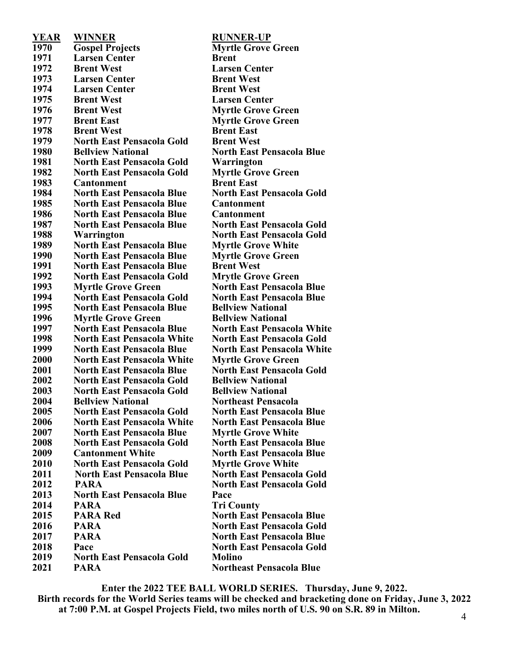| YEAR | <b>WINNER</b>                     | <b>RUNNER-</b>    |
|------|-----------------------------------|-------------------|
| 1970 | <b>Gospel Projects</b>            | <b>Myrtle Gre</b> |
| 1971 | <b>Larsen Center</b>              | <b>Brent</b>      |
| 1972 | <b>Brent West</b>                 | <b>Larsen Cen</b> |
| 1973 | <b>Larsen Center</b>              | <b>Brent Wes</b>  |
| 1974 | <b>Larsen Center</b>              | <b>Brent Wes</b>  |
| 1975 | <b>Brent West</b>                 | <b>Larsen Ce</b>  |
| 1976 | <b>Brent West</b>                 | <b>Myrtle Gro</b> |
| 1977 | <b>Brent East</b>                 | <b>Myrtle Gro</b> |
| 1978 | <b>Brent West</b>                 | <b>Brent East</b> |
| 1979 | <b>North East Pensacola Gold</b>  | <b>Brent Wes</b>  |
| 1980 | <b>Bellview National</b>          | <b>North East</b> |
| 1981 | <b>North East Pensacola Gold</b>  | Warringto         |
| 1982 | <b>North East Pensacola Gold</b>  | <b>Myrtle Gro</b> |
| 1983 | <b>Cantonment</b>                 | <b>Brent East</b> |
| 1984 | <b>North East Pensacola Blue</b>  | <b>North East</b> |
| 1985 | <b>North East Pensacola Blue</b>  | Cantonmer         |
| 1986 | <b>North East Pensacola Blue</b>  | Cantonmer         |
| 1987 | <b>North East Pensacola Blue</b>  | <b>North East</b> |
| 1988 | Warrington                        | <b>North East</b> |
| 1989 | <b>North East Pensacola Blue</b>  | <b>Myrtle Gro</b> |
| 1990 | <b>North East Pensacola Blue</b>  | <b>Myrtle Gro</b> |
| 1991 | <b>North East Pensacola Blue</b>  | <b>Brent Wes</b>  |
| 1992 | <b>North East Pensacola Gold</b>  | <b>Mrytle Gre</b> |
| 1993 | <b>Myrtle Grove Green</b>         | <b>North East</b> |
| 1994 | <b>North East Pensacola Gold</b>  | <b>North East</b> |
| 1995 | <b>North East Pensacola Blue</b>  | <b>Bellyiew N</b> |
| 1996 | <b>Myrtle Grove Green</b>         | <b>Bellview N</b> |
| 1997 | <b>North East Pensacola Blue</b>  | <b>North East</b> |
| 1998 | <b>North East Pensacola White</b> | <b>North East</b> |
| 1999 | <b>North East Pensacola Blue</b>  | <b>North East</b> |
| 2000 | <b>North East Pensacola White</b> | <b>Myrtle Gro</b> |
| 2001 | <b>North East Pensacola Blue</b>  | <b>North East</b> |
| 2002 | <b>North East Pensacola Gold</b>  | <b>Bellview N</b> |
| 2003 | <b>North East Pensacola Gold</b>  | <b>Bellview N</b> |
| 2004 | <b>Bellview National</b>          | <b>Northeast</b>  |
| 2005 | <b>North East Pensacola Gold</b>  | <b>North East</b> |
| 2006 | <b>North East Pensacola White</b> | <b>North East</b> |
| 2007 | <b>North East Pensacola Blue</b>  | <b>Myrtle Gro</b> |
| 2008 | <b>North East Pensacola Gold</b>  | <b>North East</b> |
| 2009 | <b>Cantonment White</b>           | <b>North East</b> |
| 2010 | <b>North East Pensacola Gold</b>  | <b>Myrtle Gro</b> |
| 2011 | <b>North East Pensacola Blue</b>  | <b>North East</b> |
| 2012 | <b>PARA</b>                       | <b>North East</b> |
| 2013 | <b>North East Pensacola Blue</b>  | Pace              |
| 2014 | <b>PARA</b>                       | <b>Tri County</b> |
| 2015 | <b>PARA Red</b>                   | <b>North East</b> |
| 2016 | <b>PARA</b>                       | <b>North East</b> |
| 2017 | <b>PARA</b>                       | <b>North East</b> |
| 2018 | Pace                              | <b>North East</b> |
| 2019 | <b>North East Pensacola Gold</b>  | <b>Molino</b>     |
| 2021 | <b>PARA</b>                       | <b>Northeast</b>  |

**YEAR WINNER RUNNER-UP Gospel Projects Myrtle Grove Green Breath Larsen Center Brent West Larsen Center Brent West Breadt Breadt Breadt Breadt Brent West Myrtle Grove Green Brent East Myrtle Grove Green nt East North East Pensacola Gold Brent West 1th East Pensacola Blue North East Pensacola Gold Warrington North East Pensacola Gold Myrtle Grove Green North East Pensacola Blue North East Pensacola Gold Conment North East Pensacola Blue Cantonment North East Pensacola Blue North East Pensacola Gold Warrington North East Pensacola Gold North East Pensacola Blue Myrtle Grove White North East Pensacola Blue Myrtle Grove Green North East Pensacola Blue Brent West North East Pensacola Gold Mrytle Grove Green Myrtle Grove Green North East Pensacola Blue Constant East Pensacola Blue National Myrtle Grove Green Bellview National North East Pensacola Blue North East Pensacola White North East Pensacola White North East Pensacola Gold North East Pensacola Blue North East Pensacola White North East Pensacola White Myrtle Grove Green North East Pensacola Blue North East Pensacola Gold National**  $\bf{v}$  **iew National Bellview National Northeast Pensacola North East Pensacola Gold North East Pensacola Blue North East Pensacola White North East Pensacola Blue North East Pensacola Blue Myrtle Grove White North East Pensacola Gold North East Pensacola Blue Change East Pensacola Blue North East Pensacola Gold Myrtle Grove White 2011 North East Pensacola Blue North East Pensacola Gold 2012 PARA North East Pensacola Gold County Pensacola Blue Pharmal** East Pensacola Gold **PARA North East Pensacola Blue Pace North East Pensacola Gold Cheast Pensacola Blue** 

**Enter the 2022 TEE BALL WORLD SERIES. Thursday, June 9, 2022. Birth records for the World Series teams will be checked and bracketing done on Friday, June 3, 2022 at 7:00 P.M. at Gospel Projects Field, two miles north of U.S. 90 on S.R. 89 in Milton.**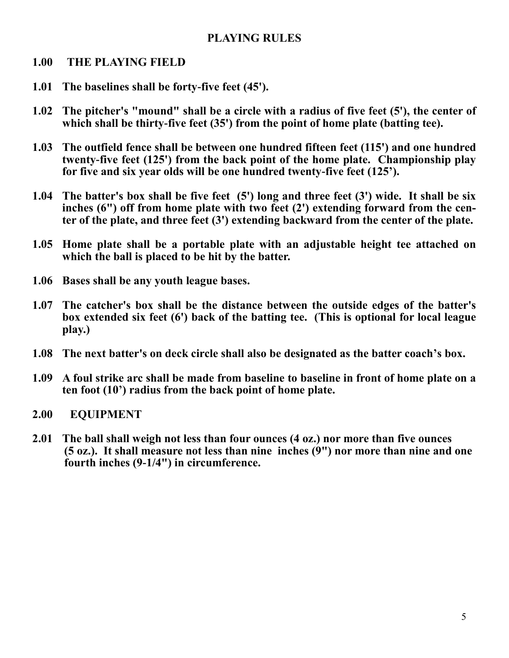## **PLAYING RULES**

#### **1.00 THE PLAYING FIELD**

- **1.01 The baselines shall be forty-five feet (45').**
- **1.02 The pitcher's "mound" shall be a circle with a radius of five feet (5'), the center of which shall be thirty-five feet (35') from the point of home plate (batting tee).**
- **1.03 The outfield fence shall be between one hundred fifteen feet (115') and one hundred twenty-five feet (125') from the back point of the home plate. Championship play for five and six year olds will be one hundred twenty-five feet (125').**
- **1.04 The batter's box shall be five feet (5') long and three feet (3') wide. It shall be six inches (6") off from home plate with two feet (2') extending forward from the center of the plate, and three feet (3') extending backward from the center of the plate.**
- **1.05 Home plate shall be a portable plate with an adjustable height tee attached on which the ball is placed to be hit by the batter.**
- **1.06 Bases shall be any youth league bases.**
- **1.07 The catcher's box shall be the distance between the outside edges of the batter's box extended six feet (6') back of the batting tee. (This is optional for local league play.)**
- **1.08 The next batter's on deck circle shall also be designated as the batter coach's box.**
- **1.09 A foul strike arc shall be made from baseline to baseline in front of home plate on a ten foot (10') radius from the back point of home plate.**
- **2.00 EQUIPMENT**
- **2.01 The ball shall weigh not less than four ounces (4 oz.) nor more than five ounces (5 oz.). It shall measure not less than nine inches (9") nor more than nine and one fourth inches (9-1/4") in circumference.**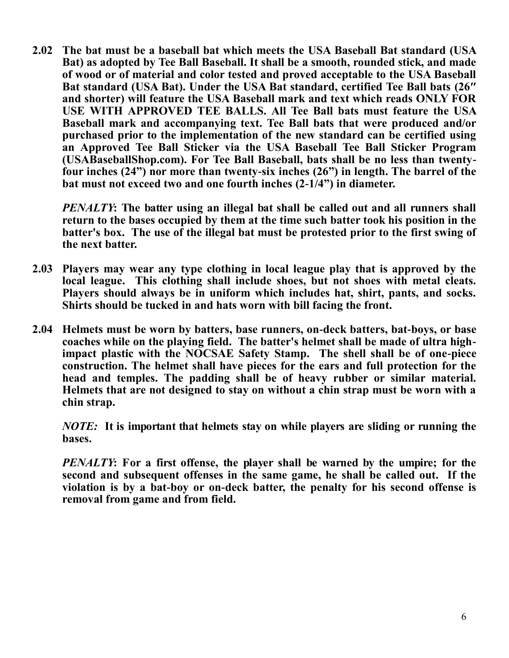**2.02 The bat must be a baseball bat which meets the USA Baseball Bat standard (USA Bat) as adopted by Tee Ball Baseball. It shall be a smooth, rounded stick, and made of wood or of material and color tested and proved acceptable to the USA Baseball Bat standard (USA Bat). Under the USA Bat standard, certified Tee Ball bats (26″ and shorter) will feature the USA Baseball mark and text which reads ONLY FOR USE WITH APPROVED TEE BALLS. All Tee Ball bats must feature the USA Baseball mark and accompanying text. Tee Ball bats that were produced and/or purchased prior to the implementation of the new standard can be certified using an Approved Tee Ball Sticker via the USA Baseball Tee Ball Sticker Program (USABaseballShop.com). For Tee Ball Baseball, bats shall be no less than twentyfour inches (24") nor more than twenty-six inches (26") in length. The barrel of the bat must not exceed two and one fourth inches (2-1/4") in diameter.**

*PENALTY***: The batter using an illegal bat shall be called out and all runners shall return to the bases occupied by them at the time such batter took his position in the batter's box. The use of the illegal bat must be protested prior to the first swing of the next batter.**

- **2.03 Players may wear any type clothing in local league play that is approved by the local league. This clothing shall include shoes, but not shoes with metal cleats. Players should always be in uniform which includes hat, shirt, pants, and socks. Shirts should be tucked in and hats worn with bill facing the front.**
- **2.04 Helmets must be worn by batters, base runners, on-deck batters, bat-boys, or base coaches while on the playing field. The batter's helmet shall be made of ultra highimpact plastic with the NOCSAE Safety Stamp. The shell shall be of one-piece construction. The helmet shall have pieces for the ears and full protection for the head and temples. The padding shall be of heavy rubber or similar material. Helmets that are not designed to stay on without a chin strap must be worn with a chin strap.**

*NOTE:* **It is important that helmets stay on while players are sliding or running the bases.**

*PENALTY***: For a first offense, the player shall be warned by the umpire; for the second and subsequent offenses in the same game, he shall be called out. If the violation is by a bat-boy or on-deck batter, the penalty for his second offense is removal from game and from field.**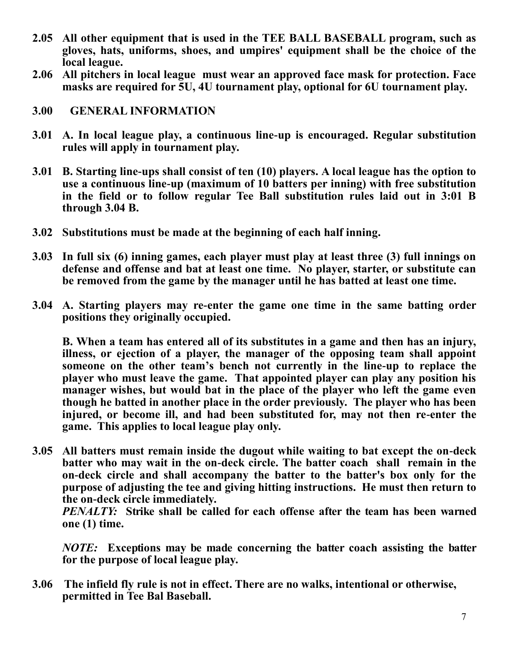- **2.05 All other equipment that is used in the TEE BALL BASEBALL program, such as gloves, hats, uniforms, shoes, and umpires' equipment shall be the choice of the local league.**
- **2.06 All pitchers in local league must wear an approved face mask for protection. Face masks are required for 5U, 4U tournament play, optional for 6U tournament play.**
- **3.00 GENERAL INFORMATION**
- **3.01 A. In local league play, a continuous line-up is encouraged. Regular substitution rules will apply in tournament play.**
- **3.01 B. Starting line-ups shall consist of ten (10) players. A local league has the option to use a continuous line-up (maximum of 10 batters per inning) with free substitution in the field or to follow regular Tee Ball substitution rules laid out in 3:01 B through 3.04 B.**
- **3.02 Substitutions must be made at the beginning of each half inning.**
- **3.03 In full six (6) inning games, each player must play at least three (3) full innings on defense and offense and bat at least one time. No player, starter, or substitute can be removed from the game by the manager until he has batted at least one time.**
- **3.04 A. Starting players may re-enter the game one time in the same batting order positions they originally occupied.**

**B. When a team has entered all of its substitutes in a game and then has an injury, illness, or ejection of a player, the manager of the opposing team shall appoint someone on the other team's bench not currently in the line-up to replace the player who must leave the game. That appointed player can play any position his manager wishes, but would bat in the place of the player who left the game even though he batted in another place in the order previously. The player who has been injured, or become ill, and had been substituted for, may not then re-enter the game. This applies to local league play only.**

**3.05 All batters must remain inside the dugout while waiting to bat except the on-deck batter who may wait in the on-deck circle. The batter coach shall remain in the on-deck circle and shall accompany the batter to the batter's box only for the purpose of adjusting the tee and giving hitting instructions. He must then return to the on-deck circle immediately.**

*PENALTY:* **Strike shall be called for each offense after the team has been warned one (1) time.**

*NOTE:* **Exceptions may be made concerning the batter coach assisting the batter for the purpose of local league play.**

**3.06 The infield fly rule is not in effect. There are no walks, intentional or otherwise, permitted in Tee Bal Baseball.**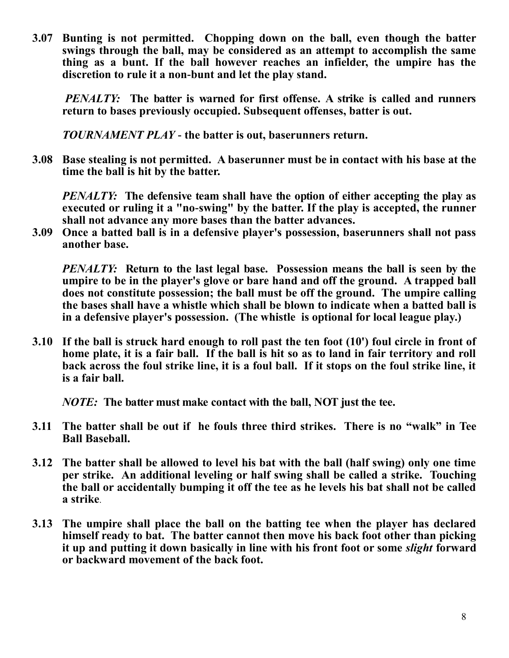**3.07 Bunting is not permitted. Chopping down on the ball, even though the batter swings through the ball, may be considered as an attempt to accomplish the same thing as a bunt. If the ball however reaches an infielder, the umpire has the discretion to rule it a non-bunt and let the play stand.**

*PENALTY:* **The batter is warned for first offense. A strike is called and runners return to bases previously occupied. Subsequent offenses, batter is out.** 

*TOURNAMENT PLAY* **- the batter is out, baserunners return.**

**3.08 Base stealing is not permitted. A baserunner must be in contact with his base at the time the ball is hit by the batter.**

*PENALTY:* The defensive team shall have the option of either accepting the play as **executed or ruling it a "no-swing" by the batter. If the play is accepted, the runner shall not advance any more bases than the batter advances.**

**3.09 Once a batted ball is in a defensive player's possession, baserunners shall not pass another base.**

*PENALTY:* **Return to the last legal base. Possession means the ball is seen by the umpire to be in the player's glove or bare hand and off the ground. A trapped ball does not constitute possession; the ball must be off the ground. The umpire calling the bases shall have a whistle which shall be blown to indicate when a batted ball is in a defensive player's possession. (The whistle is optional for local league play.)**

**3.10 If the ball is struck hard enough to roll past the ten foot (10') foul circle in front of home plate, it is a fair ball. If the ball is hit so as to land in fair territory and roll back across the foul strike line, it is a foul ball. If it stops on the foul strike line, it is a fair ball.**

*NOTE:* **The batter must make contact with the ball, NOT just the tee.**

- **3.11 The batter shall be out if he fouls three third strikes. There is no "walk" in Tee Ball Baseball.**
- **3.12 The batter shall be allowed to level his bat with the ball (half swing) only one time per strike. An additional leveling or half swing shall be called a strike. Touching the ball or accidentally bumping it off the tee as he levels his bat shall not be called a strike**.
- **3.13 The umpire shall place the ball on the batting tee when the player has declared himself ready to bat. The batter cannot then move his back foot other than picking it up and putting it down basically in line with his front foot or some** *slight* **forward or backward movement of the back foot.**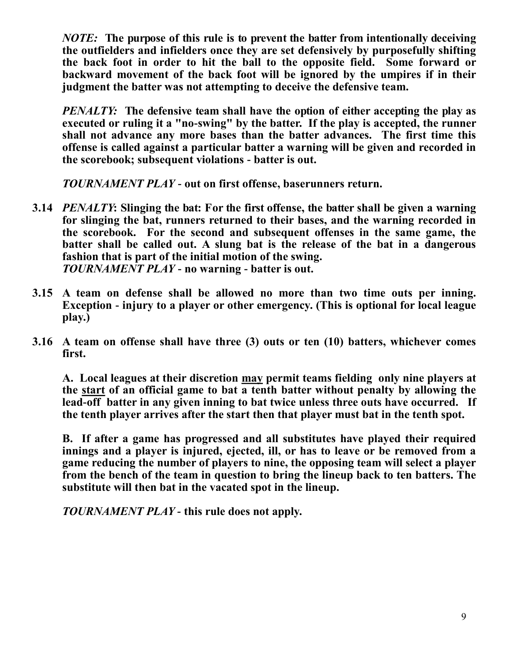*NOTE:* **The purpose of this rule is to prevent the batter from intentionally deceiving the outfielders and infielders once they are set defensively by purposefully shifting the back foot in order to hit the ball to the opposite field. Some forward or backward movement of the back foot will be ignored by the umpires if in their judgment the batter was not attempting to deceive the defensive team.** 

*PENALTY:* The defensive team shall have the option of either accepting the play as **executed or ruling it a "no-swing" by the batter. If the play is accepted, the runner shall not advance any more bases than the batter advances. The first time this offense is called against a particular batter a warning will be given and recorded in the scorebook; subsequent violations - batter is out.** 

*TOURNAMENT PLAY* **- out on first offense, baserunners return.**

- **3.14** *PENALTY***: Slinging the bat: For the first offense, the batter shall be given a warning for slinging the bat, runners returned to their bases, and the warning recorded in the scorebook. For the second and subsequent offenses in the same game, the batter shall be called out. A slung bat is the release of the bat in a dangerous fashion that is part of the initial motion of the swing.** *TOURNAMENT PLAY* **- no warning - batter is out.**
- **3.15 A team on defense shall be allowed no more than two time outs per inning. Exception - injury to a player or other emergency. (This is optional for local league play.)**
- **3.16 A team on offense shall have three (3) outs or ten (10) batters, whichever comes first.**

**A. Local leagues at their discretion may permit teams fielding only nine players at the start of an official game to bat a tenth batter without penalty by allowing the lead-off batter in any given inning to bat twice unless three outs have occurred. If the tenth player arrives after the start then that player must bat in the tenth spot.**

**B. If after a game has progressed and all substitutes have played their required innings and a player is injured, ejected, ill, or has to leave or be removed from a game reducing the number of players to nine, the opposing team will select a player from the bench of the team in question to bring the lineup back to ten batters. The substitute will then bat in the vacated spot in the lineup.** 

*TOURNAMENT PLAY -* **this rule does not apply.**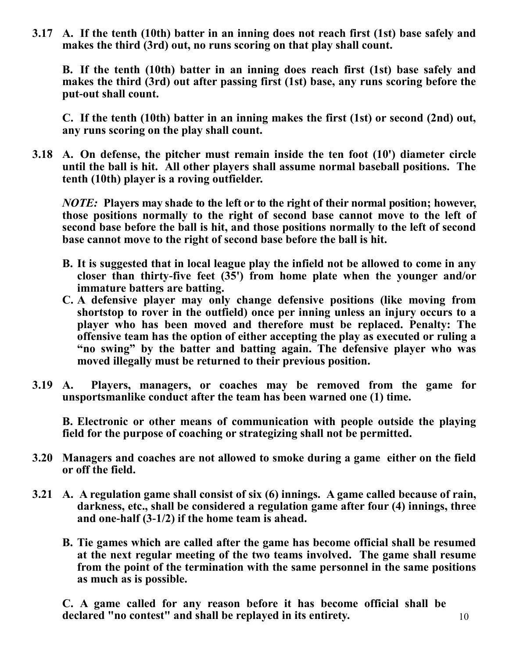**3.17 A. If the tenth (10th) batter in an inning does not reach first (1st) base safely and makes the third (3rd) out, no runs scoring on that play shall count.**

**B. If the tenth (10th) batter in an inning does reach first (1st) base safely and makes the third (3rd) out after passing first (1st) base, any runs scoring before the put-out shall count.**

**C. If the tenth (10th) batter in an inning makes the first (1st) or second (2nd) out, any runs scoring on the play shall count.**

**3.18 A. On defense, the pitcher must remain inside the ten foot (10') diameter circle until the ball is hit. All other players shall assume normal baseball positions. The tenth (10th) player is a roving outfielder.**

*NOTE:* **Players may shade to the left or to the right of their normal position; however, those positions normally to the right of second base cannot move to the left of second base before the ball is hit, and those positions normally to the left of second base cannot move to the right of second base before the ball is hit.**

- **B. It is suggested that in local league play the infield not be allowed to come in any closer than thirty-five feet (35') from home plate when the younger and/or immature batters are batting.**
- **C. A defensive player may only change defensive positions (like moving from shortstop to rover in the outfield) once per inning unless an injury occurs to a player who has been moved and therefore must be replaced. Penalty: The offensive team has the option of either accepting the play as executed or ruling a "no swing" by the batter and batting again. The defensive player who was moved illegally must be returned to their previous position.**
- **3.19 A. Players, managers, or coaches may be removed from the game for unsportsmanlike conduct after the team has been warned one (1) time.**

**B. Electronic or other means of communication with people outside the playing field for the purpose of coaching or strategizing shall not be permitted.**

- **3.20 Managers and coaches are not allowed to smoke during a game either on the field or off the field.**
- **3.21 A. A regulation game shall consist of six (6) innings. A game called because of rain, darkness, etc., shall be considered a regulation game after four (4) innings, three and one-half (3-1/2) if the home team is ahead.**
	- **B. Tie games which are called after the game has become official shall be resumed at the next regular meeting of the two teams involved. The game shall resume from the point of the termination with the same personnel in the same positions as much as is possible.**

**C. A game called for any reason before it has become official shall be declared "no contest" and shall be replayed in its entirety.** 10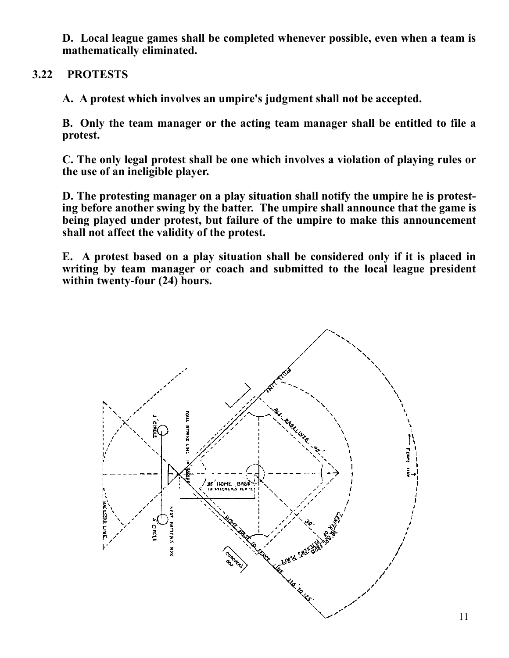**D. Local league games shall be completed whenever possible, even when a team is mathematically eliminated.** 

#### **3.22 PROTESTS**

**A. A protest which involves an umpire's judgment shall not be accepted.**

**B. Only the team manager or the acting team manager shall be entitled to file a protest.**

**C. The only legal protest shall be one which involves a violation of playing rules or the use of an ineligible player.**

**D. The protesting manager on a play situation shall notify the umpire he is protesting before another swing by the batter. The umpire shall announce that the game is being played under protest, but failure of the umpire to make this announcement shall not affect the validity of the protest.**

**E. A protest based on a play situation shall be considered only if it is placed in writing by team manager or coach and submitted to the local league president within twenty-four (24) hours.**

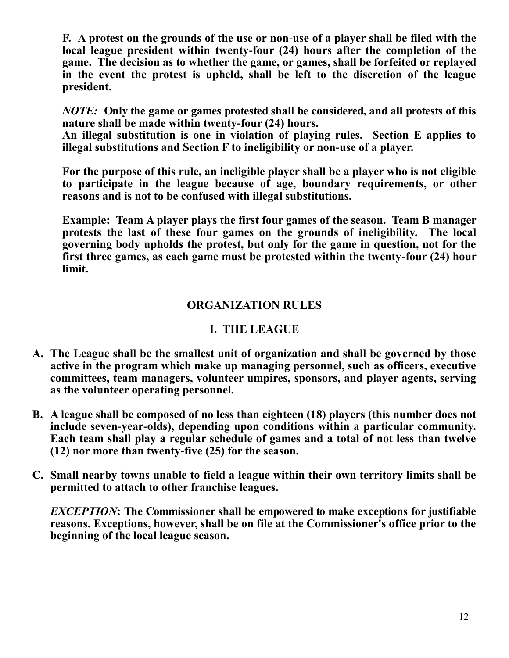**F. A protest on the grounds of the use or non-use of a player shall be filed with the local league president within twenty-four (24) hours after the completion of the game. The decision as to whether the game, or games, shall be forfeited or replayed in the event the protest is upheld, shall be left to the discretion of the league president.**

*NOTE:* **Only the game or games protested shall be considered, and all protests of this nature shall be made within twenty-four (24) hours.**

**An illegal substitution is one in violation of playing rules. Section E applies to illegal substitutions and Section F to ineligibility or non-use of a player.**

**For the purpose of this rule, an ineligible player shall be a player who is not eligible to participate in the league because of age, boundary requirements, or other reasons and is not to be confused with illegal substitutions.**

**Example: Team A player plays the first four games of the season. Team B manager protests the last of these four games on the grounds of ineligibility. The local governing body upholds the protest, but only for the game in question, not for the first three games, as each game must be protested within the twenty-four (24) hour limit.**

#### **ORGANIZATION RULES**

#### **I. THE LEAGUE**

- **A. The League shall be the smallest unit of organization and shall be governed by those active in the program which make up managing personnel, such as officers, executive committees, team managers, volunteer umpires, sponsors, and player agents, serving as the volunteer operating personnel.**
- **B. A league shall be composed of no less than eighteen (18) players (this number does not include seven-year-olds), depending upon conditions within a particular community. Each team shall play a regular schedule of games and a total of not less than twelve (12) nor more than twenty-five (25) for the season.**
- **C. Small nearby towns unable to field a league within their own territory limits shall be permitted to attach to other franchise leagues.**

*EXCEPTION***: The Commissioner shall be empowered to make exceptions for justifiable reasons. Exceptions, however, shall be on file at the Commissioner's office prior to the beginning of the local league season.**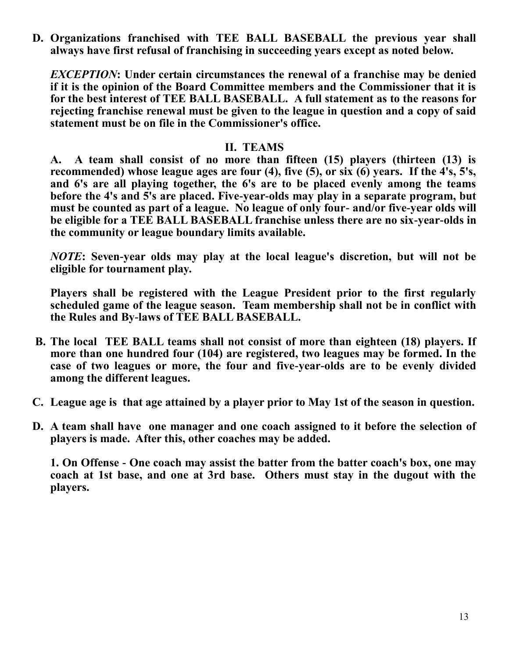**D. Organizations franchised with TEE BALL BASEBALL the previous year shall always have first refusal of franchising in succeeding years except as noted below.**

*EXCEPTION***: Under certain circumstances the renewal of a franchise may be denied if it is the opinion of the Board Committee members and the Commissioner that it is for the best interest of TEE BALL BASEBALL. A full statement as to the reasons for rejecting franchise renewal must be given to the league in question and a copy of said statement must be on file in the Commissioner's office.**

#### **II. TEAMS**

**A. A team shall consist of no more than fifteen (15) players (thirteen (13) is recommended) whose league ages are four (4), five (5), or six (6) years. If the 4's, 5's, and 6's are all playing together, the 6's are to be placed evenly among the teams before the 4's and 5's are placed. Five-year-olds may play in a separate program, but must be counted as part of a league. No league of only four- and/or five-year olds will be eligible for a TEE BALL BASEBALL franchise unless there are no six-year-olds in the community or league boundary limits available.**

*NOTE***: Seven-year olds may play at the local league's discretion, but will not be eligible for tournament play.**

**Players shall be registered with the League President prior to the first regularly scheduled game of the league season. Team membership shall not be in conflict with the Rules and By-laws of TEE BALL BASEBALL.**

- **B. The local TEE BALL teams shall not consist of more than eighteen (18) players. If more than one hundred four (104) are registered, two leagues may be formed. In the case of two leagues or more, the four and five-year-olds are to be evenly divided among the different leagues.**
- **C. League age is that age attained by a player prior to May 1st of the season in question.**
- **D. A team shall have one manager and one coach assigned to it before the selection of players is made. After this, other coaches may be added.**

 **1. On Offense - One coach may assist the batter from the batter coach's box, one may coach at 1st base, and one at 3rd base. Others must stay in the dugout with the players.**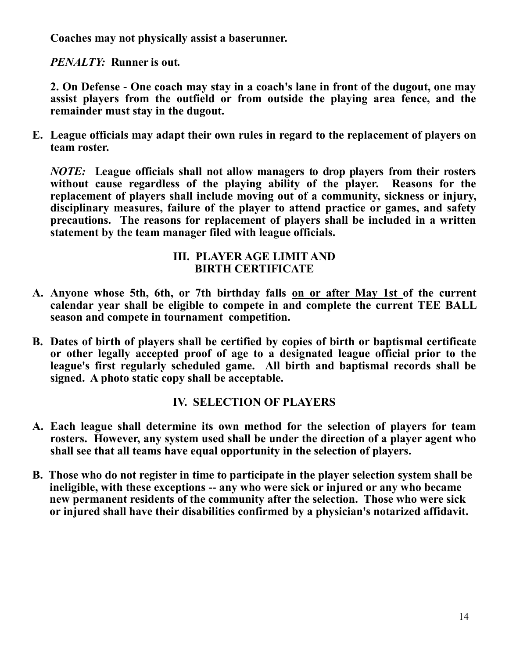**Coaches may not physically assist a baserunner.**

*PENALTY:* **Runner is out.**

**2. On Defense - One coach may stay in a coach's lane in front of the dugout, one may assist players from the outfield or from outside the playing area fence, and the remainder must stay in the dugout.**

**E. League officials may adapt their own rules in regard to the replacement of players on team roster.**

*NOTE:* **League officials shall not allow managers to drop players from their rosters**  without cause regardless of the playing ability of the player. Reasons for the **replacement of players shall include moving out of a community, sickness or injury, disciplinary measures, failure of the player to attend practice or games, and safety precautions. The reasons for replacement of players shall be included in a written statement by the team manager filed with league officials.**

#### **III. PLAYER AGE LIMIT AND BIRTH CERTIFICATE**

- **A. Anyone whose 5th, 6th, or 7th birthday falls on or after May 1st of the current calendar year shall be eligible to compete in and complete the current TEE BALL season and compete in tournament competition.**
- **B. Dates of birth of players shall be certified by copies of birth or baptismal certificate or other legally accepted proof of age to a designated league official prior to the league's first regularly scheduled game. All birth and baptismal records shall be signed. A photo static copy shall be acceptable.**

## **IV. SELECTION OF PLAYERS**

- **A. Each league shall determine its own method for the selection of players for team rosters. However, any system used shall be under the direction of a player agent who shall see that all teams have equal opportunity in the selection of players.**
- **B. Those who do not register in time to participate in the player selection system shall be ineligible, with these exceptions -- any who were sick or injured or any who became new permanent residents of the community after the selection. Those who were sick or injured shall have their disabilities confirmed by a physician's notarized affidavit.**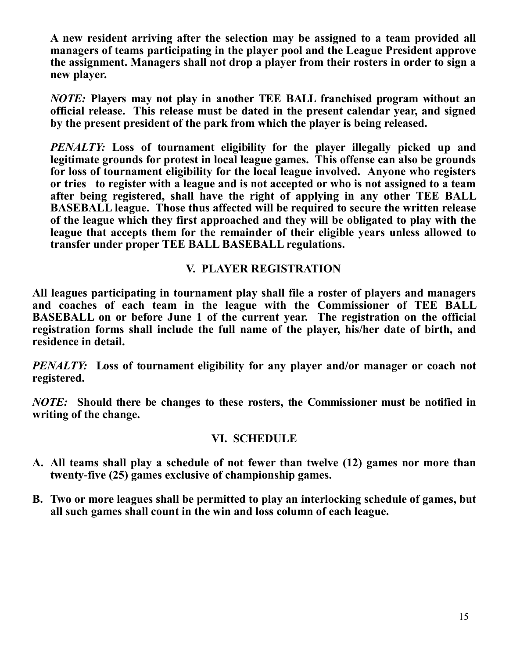**A new resident arriving after the selection may be assigned to a team provided all managers of teams participating in the player pool and the League President approve the assignment. Managers shall not drop a player from their rosters in order to sign a new player.**

*NOTE:* **Players may not play in another TEE BALL franchised program without an official release. This release must be dated in the present calendar year, and signed by the present president of the park from which the player is being released.**

*PENALTY:* **Loss of tournament eligibility for the player illegally picked up and legitimate grounds for protest in local league games. This offense can also be grounds for loss of tournament eligibility for the local league involved. Anyone who registers or tries to register with a league and is not accepted or who is not assigned to a team after being registered, shall have the right of applying in any other TEE BALL BASEBALL league. Those thus affected will be required to secure the written release of the league which they first approached and they will be obligated to play with the league that accepts them for the remainder of their eligible years unless allowed to transfer under proper TEE BALL BASEBALL regulations.**

#### **V. PLAYER REGISTRATION**

**All leagues participating in tournament play shall file a roster of players and managers and coaches of each team in the league with the Commissioner of TEE BALL BASEBALL on or before June 1 of the current year. The registration on the official registration forms shall include the full name of the player, his/her date of birth, and residence in detail.**

*PENALTY:* **Loss of tournament eligibility for any player and/or manager or coach not registered.**

*NOTE:* **Should there be changes to these rosters, the Commissioner must be notified in writing of the change.**

#### **VI. SCHEDULE**

- **A. All teams shall play a schedule of not fewer than twelve (12) games nor more than twenty-five (25) games exclusive of championship games.**
- **B. Two or more leagues shall be permitted to play an interlocking schedule of games, but all such games shall count in the win and loss column of each league.**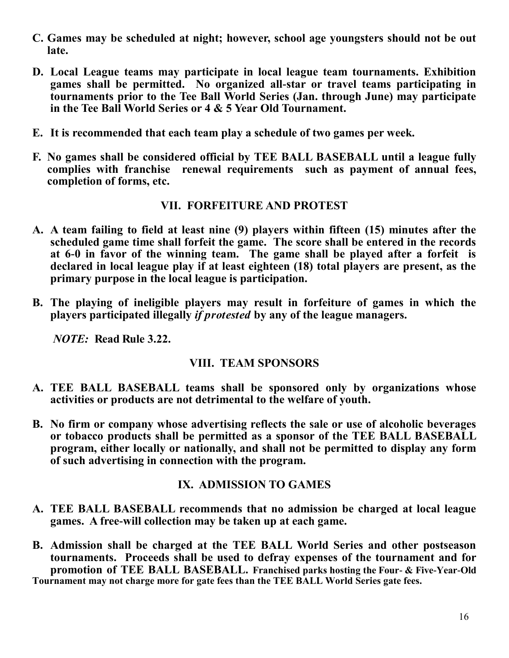- **C. Games may be scheduled at night; however, school age youngsters should not be out late.**
- **D. Local League teams may participate in local league team tournaments. Exhibition games shall be permitted. No organized all-star or travel teams participating in tournaments prior to the Tee Ball World Series (Jan. through June) may participate in the Tee Ball World Series or 4 & 5 Year Old Tournament.**
- **E. It is recommended that each team play a schedule of two games per week.**
- **F. No games shall be considered official by TEE BALL BASEBALL until a league fully complies with franchise renewal requirements such as payment of annual fees, completion of forms, etc.**

#### **VII. FORFEITURE AND PROTEST**

- **A. A team failing to field at least nine (9) players within fifteen (15) minutes after the scheduled game time shall forfeit the game. The score shall be entered in the records at 6-0 in favor of the winning team. The game shall be played after a forfeit is declared in local league play if at least eighteen (18) total players are present, as the primary purpose in the local league is participation.**
- **B. The playing of ineligible players may result in forfeiture of games in which the players participated illegally** *if protested* **by any of the league managers.**

*NOTE:* **Read Rule 3.22.**

#### **VIII. TEAM SPONSORS**

- **A. TEE BALL BASEBALL teams shall be sponsored only by organizations whose activities or products are not detrimental to the welfare of youth.**
- **B. No firm or company whose advertising reflects the sale or use of alcoholic beverages or tobacco products shall be permitted as a sponsor of the TEE BALL BASEBALL program, either locally or nationally, and shall not be permitted to display any form of such advertising in connection with the program.**

#### **IX. ADMISSION TO GAMES**

- **A. TEE BALL BASEBALL recommends that no admission be charged at local league games. A free-will collection may be taken up at each game.**
- **B. Admission shall be charged at the TEE BALL World Series and other postseason tournaments. Proceeds shall be used to defray expenses of the tournament and for promotion of TEE BALL BASEBALL. Franchised parks hosting the Four- & Five-Year-Old Tournament may not charge more for gate fees than the TEE BALL World Series gate fees.**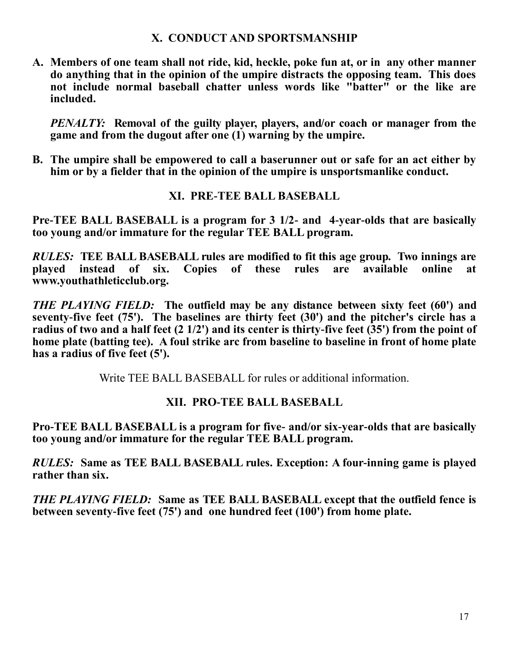#### **X. CONDUCT AND SPORTSMANSHIP**

**A. Members of one team shall not ride, kid, heckle, poke fun at, or in any other manner do anything that in the opinion of the umpire distracts the opposing team. This does not include normal baseball chatter unless words like "batter" or the like are included.**

*PENALTY:* **Removal of the guilty player, players, and/or coach or manager from the game and from the dugout after one (1) warning by the umpire.**

**B. The umpire shall be empowered to call a baserunner out or safe for an act either by him or by a fielder that in the opinion of the umpire is unsportsmanlike conduct.**

#### **XI. PRE-TEE BALL BASEBALL**

**Pre-TEE BALL BASEBALL is a program for 3 1/2- and 4-year-olds that are basically too young and/or immature for the regular TEE BALL program.**

*RULES:* **TEE BALL BASEBALL rules are modified to fit this age group. Two innings are played instead of six. Copies of these rules are available online at www.youthathleticclub.org.** 

*THE PLAYING FIELD:* **The outfield may be any distance between sixty feet (60') and seventy-five feet (75'). The baselines are thirty feet (30') and the pitcher's circle has a radius of two and a half feet (2 1/2') and its center is thirty-five feet (35') from the point of home plate (batting tee). A foul strike arc from baseline to baseline in front of home plate has a radius of five feet (5').**

Write TEE BALL BASEBALL for rules or additional information.

## **XII. PRO-TEE BALL BASEBALL**

**Pro-TEE BALL BASEBALL is a program for five- and/or six-year-olds that are basically too young and/or immature for the regular TEE BALL program.**

*RULES:* **Same as TEE BALL BASEBALL rules. Exception: A four-inning game is played rather than six.** 

*THE PLAYING FIELD:* **Same as TEE BALL BASEBALL except that the outfield fence is between seventy-five feet (75') and one hundred feet (100') from home plate.**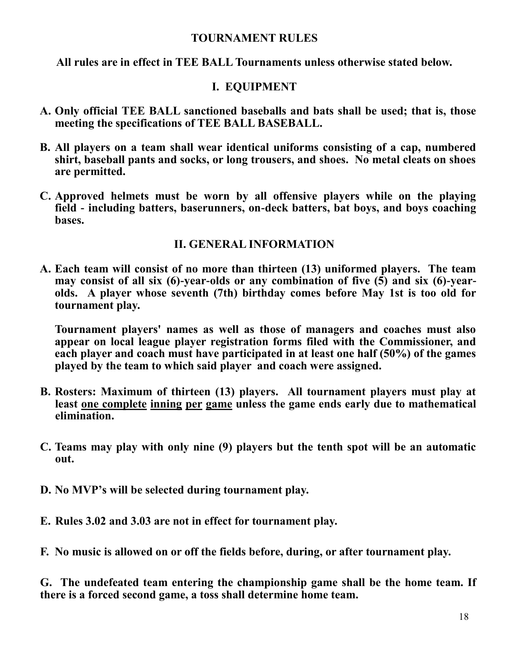#### **TOURNAMENT RULES**

**All rules are in effect in TEE BALL Tournaments unless otherwise stated below.**

#### **I. EQUIPMENT**

- **A. Only official TEE BALL sanctioned baseballs and bats shall be used; that is, those meeting the specifications of TEE BALL BASEBALL.**
- **B. All players on a team shall wear identical uniforms consisting of a cap, numbered shirt, baseball pants and socks, or long trousers, and shoes. No metal cleats on shoes are permitted.**
- **C. Approved helmets must be worn by all offensive players while on the playing field - including batters, baserunners, on-deck batters, bat boys, and boys coaching bases.**

#### **II. GENERAL INFORMATION**

**A. Each team will consist of no more than thirteen (13) uniformed players. The team may consist of all six (6)-year-olds or any combination of five (5) and six (6)-yearolds. A player whose seventh (7th) birthday comes before May 1st is too old for tournament play.**

**Tournament players' names as well as those of managers and coaches must also appear on local league player registration forms filed with the Commissioner, and each player and coach must have participated in at least one half (50%) of the games played by the team to which said player and coach were assigned.**

- **B. Rosters: Maximum of thirteen (13) players. All tournament players must play at least one complete inning per game unless the game ends early due to mathematical elimination.**
- **C. Teams may play with only nine (9) players but the tenth spot will be an automatic out.**
- **D. No MVP's will be selected during tournament play.**
- **E. Rules 3.02 and 3.03 are not in effect for tournament play.**
- **F. No music is allowed on or off the fields before, during, or after tournament play.**

**G. The undefeated team entering the championship game shall be the home team. If there is a forced second game, a toss shall determine home team.**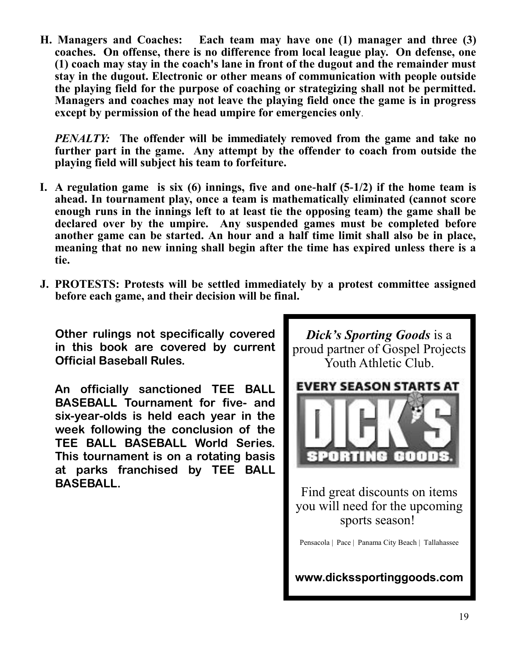**H. Managers and Coaches: Each team may have one (1) manager and three (3) coaches. On offense, there is no difference from local league play. On defense, one (1) coach may stay in the coach's lane in front of the dugout and the remainder must stay in the dugout. Electronic or other means of communication with people outside the playing field for the purpose of coaching or strategizing shall not be permitted. Managers and coaches may not leave the playing field once the game is in progress except by permission of the head umpire for emergencies only**.

*PENALTY:* **The offender will be immediately removed from the game and take no further part in the game. Any attempt by the offender to coach from outside the playing field will subject his team to forfeiture.**

- **I. A regulation game is six (6) innings, five and one-half (5-1/2) if the home team is ahead. In tournament play, once a team is mathematically eliminated (cannot score enough runs in the innings left to at least tie the opposing team) the game shall be declared over by the umpire. Any suspended games must be completed before another game can be started. An hour and a half time limit shall also be in place, meaning that no new inning shall begin after the time has expired unless there is a tie.**
- **J. PROTESTS: Protests will be settled immediately by a protest committee assigned before each game, and their decision will be final.**

**Other rulings not specifically covered in this book are covered by current Official Baseball Rules.** 

**An officially sanctioned TEE BALL BASEBALL Tournament for five- and six-year-olds is held each year in the week following the conclusion of the TEE BALL BASEBALL World Series. This tournament is on a rotating basis at parks franchised by TEE BALL BASEBALL.**



Pensacola | Pace | Panama City Beach | Tallahassee

**www.dickssportinggoods.com**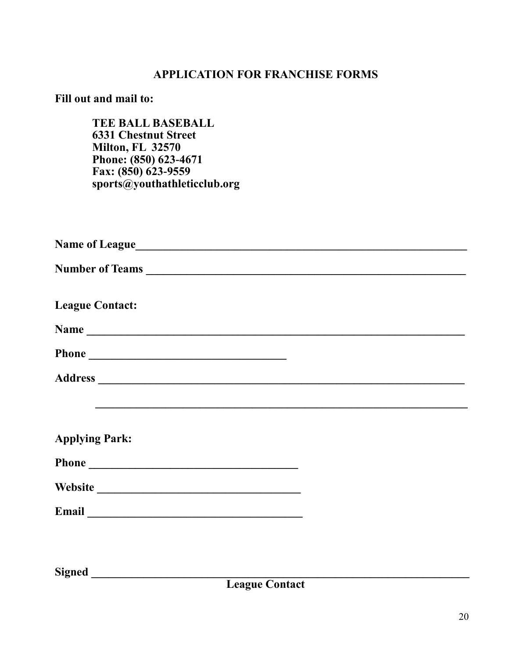## **APPLICATION FOR FRANCHISE FORMS**

## **Fill out and mail to:**

**TEE BALL BASEBALL 6331 Chestnut Street Milton, FL 32570 Phone: (850) 623-4671 Fax: (850) 623-9559 sports@youthathleticclub.org**

| Number of Teams                                                                                                                                                                                                                |  |
|--------------------------------------------------------------------------------------------------------------------------------------------------------------------------------------------------------------------------------|--|
| <b>League Contact:</b>                                                                                                                                                                                                         |  |
| Name                                                                                                                                                                                                                           |  |
| Phone                                                                                                                                                                                                                          |  |
|                                                                                                                                                                                                                                |  |
|                                                                                                                                                                                                                                |  |
|                                                                                                                                                                                                                                |  |
| <b>Applying Park:</b>                                                                                                                                                                                                          |  |
|                                                                                                                                                                                                                                |  |
|                                                                                                                                                                                                                                |  |
| Email expression of the contract of the contract of the contract of the contract of the contract of the contract of the contract of the contract of the contract of the contract of the contract of the contract of the contra |  |
|                                                                                                                                                                                                                                |  |
|                                                                                                                                                                                                                                |  |

**Signed \_\_\_\_\_\_\_\_\_\_\_\_\_\_\_\_\_\_\_\_\_\_\_\_\_\_\_\_\_\_\_\_\_\_\_\_\_\_\_\_\_\_\_\_\_\_\_\_\_\_\_\_\_\_\_\_\_\_\_\_\_\_\_\_\_**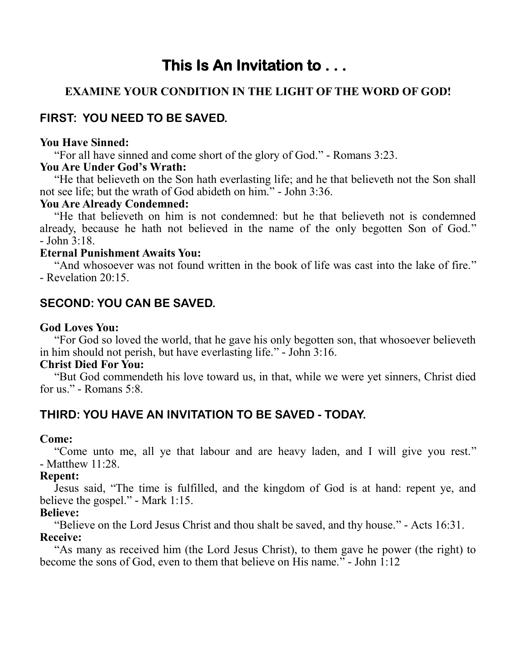# **This Is An Invitation to . . .**

## **EXAMINE YOUR CONDITION IN THE LIGHT OF THE WORD OF GOD!**

# **FIRST: YOU NEED TO BE SAVED.**

#### **You Have Sinned:**

"For all have sinned and come short of the glory of God." - Romans 3:23.

#### **You Are Under God's Wrath:**

 "He that believeth on the Son hath everlasting life; and he that believeth not the Son shall not see life; but the wrath of God abideth on him." - John 3:36.

#### **You Are Already Condemned:**

 "He that believeth on him is not condemned: but he that believeth not is condemned already, because he hath not believed in the name of the only begotten Son of God." - John 3:18.

#### **Eternal Punishment Awaits You:**

 "And whosoever was not found written in the book of life was cast into the lake of fire." - Revelation 20:15.

## **SECOND: YOU CAN BE SAVED.**

#### **God Loves You:**

"For God so loved the world, that he gave his only begotten son, that whosoever believeth in him should not perish, but have everlasting life." - John 3:16.

#### **Christ Died For You:**

 "But God commendeth his love toward us, in that, while we were yet sinners, Christ died for us." - Romans 5:8.

## **THIRD: YOU HAVE AN INVITATION TO BE SAVED - TODAY.**

#### **Come:**

"Come unto me, all ye that labour and are heavy laden, and I will give you rest." - Matthew 11:28.

#### **Repent:**

 Jesus said, "The time is fulfilled, and the kingdom of God is at hand: repent ye, and believe the gospel." - Mark 1:15.

#### **Believe:**

 "Believe on the Lord Jesus Christ and thou shalt be saved, and thy house." - Acts 16:31. **Receive:**

"As many as received him (the Lord Jesus Christ), to them gave he power (the right) to become the sons of God, even to them that believe on His name." - John 1:12